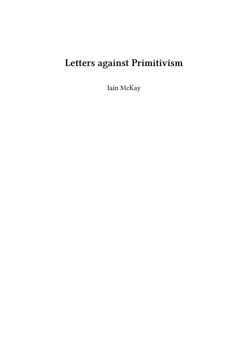# **Letters against Primitivism**

Iain McKay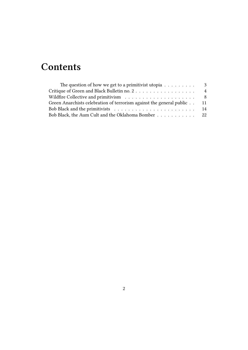## **Contents**

| The question of how we get to a primitivist utopia $\dots \dots \dots$  | 3              |
|-------------------------------------------------------------------------|----------------|
|                                                                         | $\overline{4}$ |
|                                                                         |                |
| Green Anarchists celebration of terrorism against the general public 11 |                |
|                                                                         |                |
| Bob Black, the Aum Cult and the Oklahoma Bomber 22                      |                |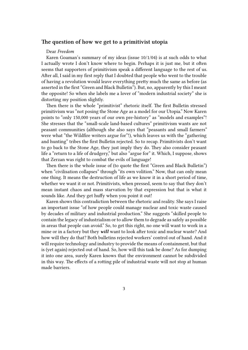#### <span id="page-2-0"></span>**The question of how we get to a primitivist utopia**

#### Dear *Freedom*

Karen Goaman's summary of my ideas (issue 10/1/04) is at such odds to what I actually wrote I don't know where to begin. Perhaps it is just me, but it often seems that supporters of primitivism speak a different language to the rest of us. After all, I said in my first reply that I doubted that people who went to the trouble of having a revolution would leave everything pretty much the same as before (as asserted in the first "Green and Black Bulletin"). But, no, apparently by this I meant the opposite! So when she labels me a lover of "modern industrial society" she is distorting my position slightly.

Then there is the whole "primitivist" rhetoric itself. The first Bulletin stressed primitivism was "not posing the Stone Age as a model for our Utopia." Now Karen points to "only 150,000 years of our own pre-history" as "models and examples"! She stresses that the "small-scale land-based cultures" primitivism wants are not peasant communities (although she also says that "peasants and small farmers" were what "the Wildfire writers argue for"!), which leaves us with the "gathering and hunting" tribes the first Bulletin rejected. So to recap. Primitivists don't want to go back to the Stone Age, they just imply they do. They also consider peasant life a "return to a life of drudgery," but also "argue for" it. Which, I suppose, shows that Zerzan was right to combat the evils of language!

Then there is the whole issue of (to quote the first "Green and Black Bulletin") when "civilisation collapses" through "its own volition." Now, that can only mean one thing. It means the destruction of life as we know it in a short period of time, whether we want it or not. Primitivists, when pressed, seem to say that they don't mean instant chaos and mass starvation by that expression but that is what it sounds like. And they get huffy when you point it out!

Karen shows this contradiction between the rhetoric and reality. She says I raise an important issue "of how people could manage nuclear and toxic waste caused by decades of military and industrial production." She suggests "skilled people to contain the legacy of industrialism or to allow them to degrade as safely as possible in areas that people can avoid." So, to get this right, no one will want to work in a mine or in a factory but they *will* want to look after toxic and nuclear waste? And how will they do that? Both bulletins rejected workers' control out of hand. And it will require technology and industry to provide the means of containment, but that is (yet again) rejected out of hand. So, how will this task be done? As for dumping it into one area, surely Karen knows that the environment cannot be subdivided in this way. The effects of a rotting pile of industrial waste will not stop at human made barriers.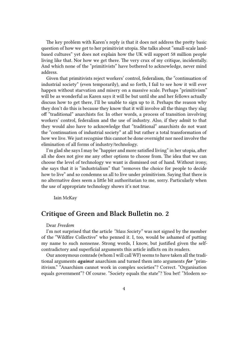The key problem with Karen's reply is that it does not address the pretty basic question of how we get to her primitivist utopia. She talks about "small-scale landbased cultures" yet does not explain how the UK will support 58 million people living like that. Nor how we get there. The very crux of my critique, incidentally. And which none of the "primitivists" have bothered to acknowledge, never mind address.

Given that primitivists reject workers' control, federalism, the "continuation of industrial society" (even temporarily), and so forth, I fail to see how it will ever happen without starvation and misery on a massive scale. Perhaps "primitivism" will be as wonderful as Karen says it will be but until she and her fellows actually discuss how to get there, I'll be unable to sign up to it. Perhaps the reason why they don't do this is because they know that it will involve all the things they slag off "traditional" anarchists for. In other words, a process of transition involving workers' control, federalism and the use of industry. Also, if they admit to that they would also have to acknowledge that "traditional" anarchists do not want the "continuation of industrial society" at all but rather a total transformation of how we live. We just recognise this cannot be done overnight nor need involve the elimination of all forms of industry/technology.

I'm glad she says I may be "happier and more satisfied living" in her utopia, after all she does not give me any other options to choose from. The idea that we can choose the level of technology we want is dismissed out of hand. Without irony, she says that it is "industrialism" that "removes the choice for people to decide how to live" and so condemns us all to live under primitivism. Saying that there is no alternative does seem a little bit authoritarian to me, sorry. Particularly when the use of appropriate technology shows it's not true.

Iain McKay

### <span id="page-3-0"></span>**Critique of Green and Black Bulletin no. 2**

#### Dear *Freedom*

I'm not surprised that the article *"Mass Society"* was not signed by the member of the "Wildfire Collective" who penned it. I, too, would be ashamed of putting my name to such nonsense. Strong words, I know, but justified given the selfcontradictory and superficial arguments this article inflicts on its readers.

Our anonymous comrade (whom I will call WF) seems to have taken all the traditional arguments *against* anarchism and turned them into arguments *for* "primitivism." "Anarchism cannot work in complex societies"? Correct. "Organisation equals government"? Of course. "Society equals the state"? You bet! "Modern so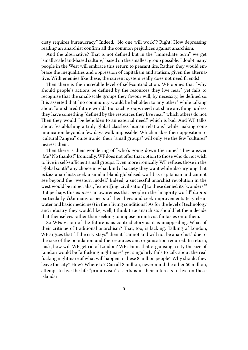ciety requires bureaucracy." Indeed. "No one will work"? Right! How depressing reading an anarchist confirm all the common prejudices against anarchism.

And the alternative? That is not defined but in the "immediate term" we get "small scale land-based culture," based on the smallest group possible. I doubt many people in the West will embrace this return to peasant life. Rather, they would embrace the inequalities and oppression of capitalism and statism, given the alternative. With enemies like these, the current system really does not need friends!

Then there is the incredible level of self-contradiction. WF opines that "why should people's actions be defined by the resources they live near" yet fails to recognise that the small-scale groups they favour will, by necessity, be defined so. It is asserted that "no community would be beholden to any other" while talking about "our shared future world." But such groups need not share anything, unless they have something "defined by the resources they live near" which others do not. Then they would "be beholden to an external need," which is bad. And WF talks about "establishing a truly global classless human relations" while making communication beyond a few days walk impossible! Which makes their opposition to "cultural Pangea" quite ironic: their "small groups" will only see the few "cultures" nearest them.

Then there is their wondering of "who's going down the mine." They answer "Me? No thanks!" Ironically, WF does not offer that option to those who do not wish to live in self-sufficient small groups. Even more ironically WF refuses those in the "global south" any choice in what kind of society they want while also arguing that *other* anarchists seek a similar bland globalised world as capitalism and cannot see beyond the "western model." Indeed, a successful anarchist revolution in the west would be imperialist, "export[ing 'civilisation'] to these denied its 'wonders.'" But perhaps this exposes an awareness that people in the "majority world" do *not* particularly *like* many aspects of their lives and seek improvements (e.g. clean water and basic medicines) in their living conditions? As for the level of technology and industry they would like, well, I think true anarchists should let them decide that themselves rather than seeking to impose primitivist fantasies onto them.

So WFs vision of the future is as contradictory as it is unappealing. What of their critique of traditional anarchism? That, too, is lacking. Talking of London, WF argues that "if the city stays" then it "cannot and will not be anarchist" due to the size of the population and the resources and organisation required. In return, I ask, how will WF get rid of London? WF claims that organising a city the size of London would be "a fucking nightmare" yet singularly fails to talk about the real fucking nightmare of what will happen to these 8 million people? Why should they leave the city? How? Where to? Can all 8 million, never mind the other 50 million, attempt to live the life "primitivism" asserts is in their interests to live on these islands?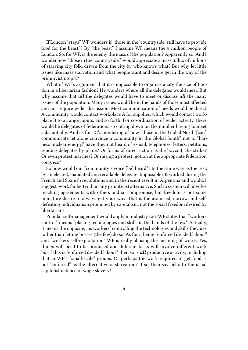If London "stays" WF wonders if "those in the 'countryside' still have to provide food for the beast"? By "the beast" I assume WF means the 8 million people of London. So, for WF, is the enemy the mass of the population? Apparently so. And I wonder how "those in the 'countryside'" would appreciate a mass influx of millions of starving city folk, driven from the city by who knows what? But why let little issues like mass starvation and what people want and desire get in the way of the primitivist utopia?

What of WF's argument that it is impossible to organise a city the size of London in a libertarian fashion? He wonders where all the delegates would meet. But why assume that *all* the delegates would have to meet or discuss *all* the many issues of the population. Many issues would be in the hands of those most affected and not require wider discussion. Most communication of needs would be direct. A community would contact workplace A for supplies, which would contact workplace B to arrange inputs, and so forth. For co-ordination of wider activity, there would be delegates of federations so cutting down on the number having to meet substantially. And as for FC's pondering of how "those in the Global North [can] communicate let alone convince a community in the Global South" not to "harness nuclear energy," have they not heard of e-mail, telephones, letters, petitions, sending delegates by plane? Or forms of direct action as the boycott, the strike? Or even protest marches? Or raising a protest motion at the appropriate federation congress?

So how would our "community's voice [be] heard"? In the same way as the rest, by an elected, mandated and recallable delegate. Impossible? It worked during the French and Spanish revolutions and in the recent revolt in Argentina and would, I suggest, work far better than any primitivist alternative. Such a system will involve reaching agreements with others and so compromise, but freedom is not some immature desire to always get your way. That is the atomised, narrow and selfdefeating individualism promoted by capitalism, not the social freedom desired by libertarians.

Popular self-management would apply in industry too. WF states that "workers control" means "placing technologies and skills in the hands of the few." Actually, it means the opposite, i.e. workers' controlling the technologies and skills they use rather than letting bosses (the few) do so. As for it being "enforced divided labour" and "workers self-exploitation" WF is really abusing the meaning of words. Yes, things will need to be produced and different tasks will involve different work but if this is "enforced divided labour" then so is *all* productive activity, including that in WF's "small-scale" groups. Or perhaps the work required to get food is not "enforced" as the alternative is starvation? If so, then say hello to the usual capitalist defence of wage slavery!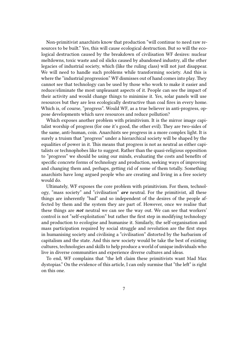Non-primitivist anarchists know that production "will continue to need raw resources to be built." Yes, this will cause ecological destruction. But so will the ecological destruction caused by the breakdown of civilisation WF desires: nuclear meltdowns, toxic waste and oil slicks caused by abandoned industry, all the other legacies of industrial society, which (like the ruling class) will not just disappear. We will need to handle such problems while transforming society. And this is where the "industrial progression" WF dismisses out of hand comes into play. They cannot see that technology can be used by those who work to make it easier and reduce/eliminate the most unpleasant aspects of it. People can see the impact of their activity and would change things to minimise it. Yes, solar panels will use resources but they are less ecologically destructive than coal fires in every home. Which is, of course, "progress". Would WF, as a true believer in anti-progress, oppose developments which save resources and reduce pollution?

Which exposes another problem with primitivism. It is the mirror image capitalist worship of progress (for one it's good, the other evil). They are two-sides of the same, anti-human, coin. Anarchists see progress in a more complex light. It is surely a truism that "progress" under a hierarchical society will be shaped by the equalities of power in it. This means that progress is not as neutral as either capitalists or technophobes like to suggest. Rather than the quasi-religious opposition to "progress" we should be using our minds, evaluating the costs and benefits of specific concrete forms of technology and production, seeking ways of improving and changing them and, perhaps, getting rid of some of them totally. Something anarchists have long argued people who are creating and living in a free society would do.

Ultimately, WF exposes the core problem with primitivism. For them, technology, "mass society" and "civilisation" *are* neutral. For the primitivist, all these things are inherently "bad" and so independent of the desires of the people affected by them and the system they are part of. However, once we realise that these things are *not* neutral we can see the way out. We can see that workers' control is not "self-exploitation" but rather the first step in modifying technology and production to ecologise and humanise it. Similarly, the self-organisation and mass participation required by social struggle and revolution are the first steps in humanising society and civilising a "civilisation" distorted by the barbarism of capitalism and the state. And this new society would be take the best of existing cultures, technologies and skills to help produce a world of unique individuals who live in diverse communities and experience diverse cultures and ideas.

To end, WF complains that "the left claim these primitivists want Mad Max dystopias." On the evidence of this article, I can only surmise that "the left" is right on this one.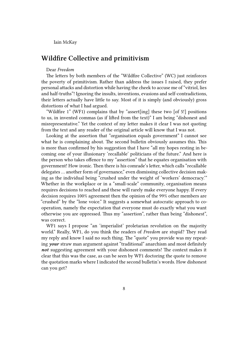Iain McKay

## <span id="page-7-0"></span>**Wildfire Collective and primitivism**

#### Dear *Freedom*

The letters by both members of the "Wildfire Collective" (WC) just reinforces the poverty of primitivism. Rather than address the issues I raised, they prefer personal attacks and distortion while having the cheek to accuse me of "vitriol, lies and half-truths"! Ignoring the insults, inventions, evasions and self-contradictions, their letters actually have little to say. Most of it is simply (and obviously) gross distortions of what I had argued.

"Wildfire 1" (WF1) complains that by "assert[ing] these two [of 5!] positions to us, in invented commas (as if lifted from the text)" I am being "dishonest and misrepresentative." Yet the context of my letter makes it clear I was not quoting from the text and any reader of the original article will know that I was not.

Looking at the assertion that "organisation equals government" I cannot see what he is complaining about. The second bulletin obviously assumes this. This is more than confirmed by his suggestion that I have "all my hopes resting in becoming one of your illusionary 'recallable' politicians of the future." And here is the person who takes offence to my "assertion" that he equates organisation with government! How ironic. Then there is his comrade's letter, which calls "recallable delegates … another form of governance," even dismissing collective decision making as the individual being "crushed under the weight of 'workers' democracy.'" Whether in the workplace or in a "small-scale" community, organisation means requires decisions to reached and these will rarely make everyone happy. If every decision requires 100% agreement then the opinion of the 99% other members are "crushed" by the "lone voice." It suggests a somewhat autocratic approach to cooperation, namely the expectation that everyone must do exactly what you want otherwise you are oppressed. Thus my "assertion", rather than being "dishonest", was correct.

WF1 says I propose "an 'imperialist' proletarian revolution on the majority world." Really, WF1, do you think the readers of *Freedom* are stupid? They read my reply and know I said no such thing. The "quote" you provide was my repeating *your* straw man argument against "traditional" anarchism and most definitely *not* suggesting agreement with your dishonest comments! The context makes it clear that this was the case, as can be seen by WF1 doctoring the quote to remove the quotation marks where I indicated the second bulletin's words. How dishonest can you get?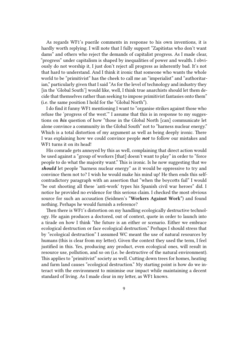As regards WF1's puerile comments in response to his own inventions, it is hardly worth replying. I will note that I fully support "Zapitistas who don't want dams" and others who reject the demands of capitalist progress. As I made clear, "progress" under capitalism is shaped by inequalities of power and wealth. I obviously do not worship it, I just don't reject all progress as inherently bad. It's not that hard to understand. And I think it ironic that someone who wants the whole world to be "primitivist" has the cheek to call me an "imperialist" and "authoritarian," particularly given that I said "As for the level of technology and industry they [in the 'Global South'] would like, well, I think true anarchists should let them decide that themselves rather than seeking to impose primitivist fantasies onto them" (i.e. the same position I hold for the "Global North").

I do find it funny WF1 mentioning I want to "organise strikes against those who refuse the 'progress of the west.'" I assume that this is in response to my suggestions on *his* question of how "those in the Global North [can] communicate let alone convince a community in the Global South" not to "harness nuclear energy." Which is a total distortion of my argument as well as being deeply ironic. There I was explaining how we could convince people *not* to follow our mistakes and WF1 turns it on its head!

His comrade gets annoyed by this as well, complaining that direct action would be used against a "group of workers [that] doesn't want to play" in order to "force people to do what the majority want." This is ironic. Is he now suggesting that we *should* let people "harness nuclear energy" as it would be oppressive to try and convince them not to? I wish he would make his mind up! He then ends this selfcontradictory paragraph with an assertion that "when the boycotts fail" I would "be out shooting all these 'anti-work' types his Spanish civil war heroes" did. I notice he provided no evidence for this serious claim. I checked the most obvious source for such an accusation (Seidmen's **"Workers Against Work"**) and found nothing. Perhaps he would furnish a reference?

Then there is WF1's distortion on my handling ecologically destructive technology. He again produces a doctored, out of context, quote in order to launch into a tirade on how I think "the future is an either or scenario. Either we embrace ecological destruction or face ecological destruction." Perhaps I should stress that by "ecological destruction" I assumed WC meant the use of natural resources by humans (this is clear from my letter). Given the context they used the term, I feel justified in this. Yes, producing any product, even ecological ones, will result in resource use, pollution, and so on (i.e. be destructive of the natural environment). This applies to "primitivist" society as well. Cutting down trees for homes, heating and farm land causes "ecological destruction." My starting point is how do we interact with the environment to minimise our impact while maintaining a decent standard of living. As I made clear in my letter, as WF1 knows.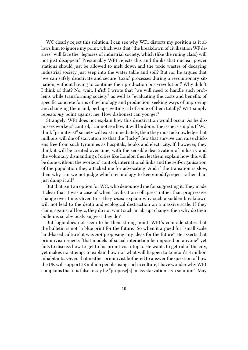WC clearly reject this solution. I can see why WF1 distorts my position as it allows him to ignore my point, which was that "the breakdown of civilisation WF desires" will face the "legacies of industrial society, which (like the ruling class) will not just disappear." Presumably WF1 rejects this and thinks that nuclear power stations should just be allowed to melt down and the toxic wastes of decaying industrial society just seep into the water table and soil? But no, he argues that "we can safely deactivate and secure 'toxic' processes during a revolutionary situation, without having to continue their production post-revolution." Why didn't I think of that? No, wait, I *did*! I wrote that "we will need to handle such problems while transforming society" as well as "evaluating the costs and benefits of specific concrete forms of technology and production, seeking ways of improving and changing them and, perhaps, getting rid of some of them totally." WF1 simply repeats *my* point against me. How dishonest can you get?

Strangely, WF1 does not explain how this deactivation would occur. As he dismisses workers' control, I cannot see how it will be done. The issue is simple. If WC think "primitivist" society will exist immediately, then they must acknowledge that millions will die of starvation so that the "lucky" few that survive can raise chickens free from such tyrannies as hospitals, books and electricity. If, however, they think it will be created over time, with the sensible deactivation of industry and the voluntary dismantling of cities like London then let them explain how this will be done without the workers' control, international links and the self-organisation of the population they attacked me for advocating. And if the transition is slow, then why can we not judge which technology to keep/modify/reject rather than just dump it all?

But that isn't an option for WC, who denounced me for suggesting it. They made it clear that it was a case of when "civilisation collapses" rather than progressive change over time. Given this, they *must* explain why such a sudden breakdown will not lead to the death and ecological destruction on a massive scale. If they claim, against all logic, they do not want such an abrupt change, then why do their bulletins so obviously suggest they do?

But logic does not seem to be their strong point. WF1's comrade states that the bulletin is not "a blue print for the future." So when it argued for "small scale land-based culture" it was *not* proposing any ideas for the future? He asserts that primitivism rejects "that models of social interaction be imposed on anyone" yet fails to discuss how to get to his primitivist utopia. He wants to get rid of the city, yet makes no attempt to explain how nor what will happen to London's 8 million inhabitants. Given that neither primitivist bothered to answer the question of how the UK will support 58 million people using such a culture, I have wonder why WF1 complains that it is false to say he "propose[s] 'mass starvation' as a solution"! May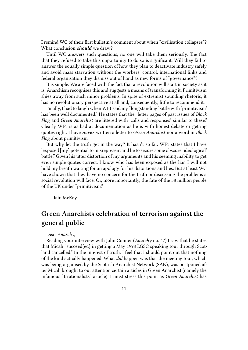I remind WC of their first bulletin's comment about when "civilisation collapses"? What conclusion *should* we draw?

Until WC answers such questions, no one will take them seriously. The fact that they refused to take this opportunity to do so is significant. Will they fail to answer the equally simple question of how they plan to deactivate industry safely and avoid mass starvation without the workers' control, international links and federal organisation they dismiss out of hand as new forms of "governance"?

It is simple. We are faced with the fact that a revolution will start in society as it is. Anarchism recognises this and suggests a means of transforming it. Primitivism shies away from such minor problems. In spite of extremist sounding rhetoric, it has no revolutionary perspective at all and, consequently, little to recommend it.

Finally, I had to laugh when WF1 said my "longstanding battle with 'primitivism' has been well documented." He states that the "letter pages of past issues of *Black Flag* and *Green Anarchist* are littered with 'calls and responses' similar to these." Clearly WF1 is as bad at documentation as he is with honest debate or getting quotes right. I have *never* written a letter to *Green Anarchist* nor a word in *Black Flag* about primitivism.

But why let the truth get in the way? It hasn't so far. WF1 states that I have "exposed [my] potential to misrepresent and lie to secure some obscure 'ideological' battle." Given his utter distortion of my arguments and his seeming inability to get even simple quotes correct, I know who has been exposed as the liar. I will not hold my breath waiting for an apology for his distortions and lies. But at least WC have shown that they have no concern for the truth or discussing the problems a social revolution will face. Or, more importantly, the fate of the 58 million people of the UK under "primitivism."

Iain McKay

## **Green Anarchists celebration of terrorism against the general public**

#### Dear *Anarchy*,

Reading your interview with John Conner (*Anarchy* no. 47) I saw that he states that Micah "succeed[ed] in getting a May 1998 LGSC speaking tour through Scotland cancelled." In the interest of truth, I feel that I should point out that nothing of the kind actually happened. What *did* happen was that the meeting tour, which was being organised by the Scottish Anarchist Network (SAN), was postponed after Micah brought to our attention certain articles in Green Anarchist (namely the infamous "Irrationalists" article). I must stress this point as *Green Anarchist* has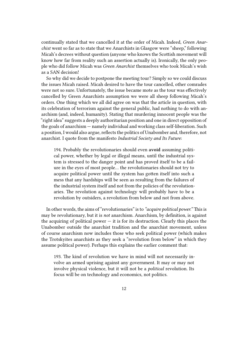continually stated that we cancelled it at the order of Micah. Indeed, *Green Anarchist* went so far as to state that we Anarchists in Glasgow were "sheep," following Micah's decrees without question (anyone who knows the Scottish movement will know how far from reality such an assertion actually is). Ironically, the only people who did follow Micah was *Green Anarchist* themselves who took Micah's wish as a SAN decision!

So why did we decide to postpone the meeting tour? Simply so we could discuss the issues Micah raised. Micah desired to have the tour cancelled, other comrades were not so sure. Unfortunately, the issue became mote as the tour was effectively cancelled by Green Anarchists assumption we were all sheep following Micah's orders. One thing which we all did agree on was that the article in question, with its celebration of terrorism against the general public, had nothing to do with anarchism (and, indeed, humanity). Stating that murdering innocent people was the "right idea" suggests a deeply authoritarian position and one in direct opposition of the goals of anarchism — namely individual and working class self-liberation. Such a position, I would also argue, reflects the politics of Unabomber and, therefore, not anarchist. I quote from the manifesto *Industrial Society and Its Future*:

194. Probably the revolutionaries should even **avoid** assuming political power, whether by legal or illegal means, until the industrial system is stressed to the danger point and has proved itself to be a failure in the eyes of most people… the revolutionaries should not try to acquire political power until the system has gotten itself into such a mess that any hardships will be seen as resulting from the failures of the industrial system itself and not from the policies of the revolutionaries. The revolution against technology will probably have to be a revolution by outsiders, a revolution from below and not from above.

In other words, the aims of "revolutionaries" is to *"acquire political power."* This is may be revolutionary, but it is *not* anarchism. Anarchism, by definition, is against the acquiring of political power  $-$  it is for its destruction. Clearly this places the Unabomber outside the anarchist tradition and the anarchist movement, unless of course anarchism now includes those who seek political power (which makes the Trotskyites anarchists as they seek a "revolution from below" in which they assume political power). Perhaps this explains the earlier comment that:

193. The kind of revolution we have in mind will not necessarily involve an armed uprising against any government. It may or may not involve physical violence, but it will not be a *political* revolution. Its focus will be on technology and economics, not politics.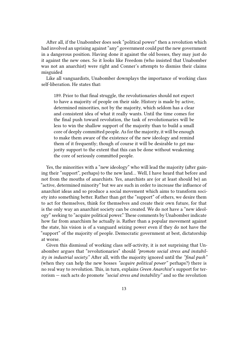After all, if the Unabomber does seek "political power" then a revolution which had involved an uprising against "any" government could put the new government in a dangerous position. Having done it against the old bosses, they may just do it against the new ones. So it looks like Freedom (who insisted that Unabomber was not an anarchist) were right and Conner's attempts to dismiss their claims misguided

Like all vanguardists, Unabomber downplays the importance of working class self-liberation. He states that:

189. Prior to that final struggle, the revolutionaries should not expect to have a majority of people on their side. History is made by active, determined minorities, not by the majority, which seldom has a clear and consistent idea of what it really wants. Until the time comes for the final push toward revolution, the task of revolutionaries will be less to win the shallow support of the majority than to build a small core of deeply committed people. As for the majority, it will be enough to make them aware of the existence of the new ideology and remind them of it frequently; though of course it will be desirable to get majority support to the extent that this can be done without weakening the core of seriously committed people.

Yes, the minorities with a "new ideology" who will lead the majority (after gaining their "support", perhaps) to the new land… Well, I have heard that before and not from the mouths of anarchists. Yes, anarchists are (or at least should be) an "active, determined minority" but we are such in order to increase the influence of anarchist ideas and so produce a social movement which aims to transform society into something better. Rather than get the "support" of others, we desire them to act for themselves, think for themselves and create their own future, for that is the only way an anarchist society can be created. We do not have a "new ideology" seeking to "acquire political power." These comments by Unabomber indicate how far from anarchism he actually is. Rather than a popular movement against the state, his vision is of a vanguard seizing power even if they do not have the "support" of the majority of people. Democratic government at best, dictatorship at worse.

Given this dismissal of working class self-activity, it is not surprising that Unabomber argues that "revolutionaries" should *"promote social stress and instability in industrial society."* After all, with the majority ignored until the *"final push"* (when they can help the new bosses *"acquire political power"* perhaps?) there is no real way to revolution. This, in turn, explains *Green Anarchist*'s support for terrorism — such acts do promote *"social stress and instability"* and so the revolution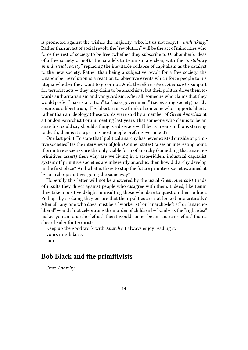is promoted against the wishes the majority, who, let us not forget, *"unthinking."* Rather than an act of social revolt, the "revolution" will be the act of minorities who force the rest of society to be free (whether they subscribe to Unabomber's ideas of a free society or not). The parallels to Leninism are clear, with the *"instability in industrial society"* replacing the inevitable collapse of capitalism as the catalyst to the new society. Rather than being a subjective revolt for a free society, the Unabomber revolution is a reaction to objective events which force people to his utopia whether they want to go or not. And, therefore, *Green Anarchist*'s support for terrorist acts — they may claim to be anarchists, but their politics drive them towards authoritarianism and vanguardism. After all, someone who claims that they would prefer "mass starvation" to "mass government" (i.e. existing society) hardly counts as a libertarian, if by libertarian we think of someone who supports liberty rather than an ideology (these words were said by a member of *Green Anarchist* at a London Anarchist Forum meeting last year). That someone who claims to be an anarchist could say should a thing is a disgrace  $-$  if liberty means millions starving to death, then is it surprising most people prefer government?

One last point. To state that "political anarchy has never existed outside of primitive societies" (as the interviewer of John Conner states) raises an interesting point. If primitive societies are the only viable form of anarchy (something that anarchoprimitives assert) then why are we living in a state-ridden, industrial capitalist system? If primitive societies are inherently anarchic, then how did archy develop in the first place? And what is there to stop the future primitive societies aimed at by anarcho-primitives going the same way?

Hopefully this letter will not be answered by the usual *Green Anarchist* tirade of insults they direct against people who disagree with them. Indeed, like Lenin they take a positive delight in insulting those who dare to question their politics. Perhaps by so doing they ensure that their politics are not looked into critically? After all, any one who does must be a "workerist" or "anarcho-leftist" or "anarcholiberal" — and if not celebrating the murder of children by bombs as the "right idea" makes you an "anarcho-leftist", then I would sooner be an "anarcho-leftist" than a cheer-leader for terrorists.

Keep up the good work with *Anarchy*. I always enjoy reading it. yours in solidarity Iain

## **Bob Black and the primitivists**

Dear *Anarchy*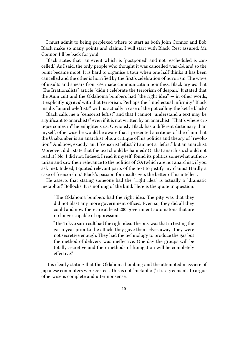I must admit to being perplexed where to start as both John Connor and Bob Black make so many points and claims. I will start with Black. Rest assured, Mr. Connor, I'll be back for you!

Black states that "an event which is 'postponed' and not rescheduled is cancelled." As I said, the only people who thought it was cancelled was *GA* and so the point became moot. It is hard to organise a tour when one half thinks it has been cancelled and the other is horrified by the first's celebration of terrorism. The wave of insults and smears from *GA* made communication pointless. Black argues that "The Irrationalists" article "didn't celebrate the terrorism of despair." It stated that the Aum cult and the Oklahoma bombers had "the right idea" — in other words, it explicitly *agreed* with that terrorism. Perhaps the "intellectual infirmity" Black insults "anarcho-leftists" with is actually a case of the pot calling the kettle black?

Black calls me a "censorist leftist" and that I cannot "understand a text may be significant to anarchists" even if it is not written by an anarchist. "That's where critique comes in" he enlightens us. Obviously Black has a different dictionary than myself, otherwise he would be aware that I presented a critique of the claim that the Unabomber is an anarchist plus a critique of his politics and theory of "revolution." And how, exactly, am I "censorist leftist"? I am not a "leftist" but an anarchist. Moreover, did I state that the text should be banned? Or that anarchists should not read it? No, I did not. Indeed, I read it myself, found its politics somewhat authoritarian and saw their relevance to the politics of *GA* (which are not anarchist, if you ask me). Indeed, I quoted relevant parts of the text to justify my claims! Hardly a case of "censorship." Black's passion for insults gets the better of his intellect.

He asserts that stating someone had the "right idea" is actually a "dramatic metaphor." Bollocks. It is nothing of the kind. Here is the quote in question:

"The Oklahoma bombers had the right idea. The pity was that they did not blast any more government offices. Even so, they did all they could and now there are at least 200 government automatons that are no longer capable of oppression.

"The Tokyo sarin cult had the right idea.The pity was that in testing the gas a year prior to the attack, they gave themselves away. They were not secretive enough. They had the technology to produce the gas but the method of delivery was ineffective. One day the groups will be totally secretive and their methods of fumigation will be completely effective."

It is clearly stating that the Oklahoma bombing and the attempted massacre of Japanese commuters were correct. This is not "metaphor," it is agreement. To argue otherwise is complete and utter nonsense.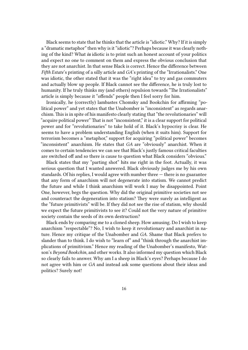Black seems to state that he thinks that the article is "idiotic." Why? If it is simply a "dramatic metaphor" then why is it "idiotic"? Perhaps because it was clearly nothing of the kind? What *is* idiotic is to print such an honest account of your politics and expect no one to comment on them and express the obvious conclusion that they are not anarchist. In that sense Black is correct. Hence the difference between *Fifth Estate*'s printing of a silly article and *GA*'s printing of the "Irrationalists." One was idiotic, the other stated that it was the "right idea" to try and gas commuters and actually blow up people. If Black cannot see the difference, he is truly lost to humanity. If he truly thinks my (and others) repulsion towards "The Irrationalists" article is simply because it "offends" people then I feel sorry for him.

Ironically, he (correctly) lambastes Chomsky and Bookchin for affirming "political power" and yet states that the Unabomber is "inconsistent" as regards anarchism. This is in spite of his manifesto clearly stating that "the revolutionaries" will "acquire political power" That is not "inconsistent," it is a clear support for political power and for "revolutionaries" to take hold of it. Black's hypocrisy is clear. He seems to have a problem understanding English (when it suits him). Support for terrorism becomes a "metaphor," support for acquiring "political power" becomes "inconsistent" anarchism. He states that *GA* are "obviously" anarchist. When it comes to certain tendencies we can see that Black's justly famous critical faculties are switched off and so there is cause to question what Black considers "obvious."

Black states that my "parting shot" hits me right in the foot. Actually, it was serious question that I wanted answered. Black obviously judges me by his own standards. Of his replies, I would agree with number three — there is no guarantee that any form of anarchism will not degenerate into statism. We cannot predict the future and while I think anarchism will work I may be disappointed. Point One, however, begs the question. Why did the original primitive societies not see and counteract the degeneration into statism? They were surely as intelligent as the "future primitivists" will be. If they did not see the rise of statism, why should we expect the future primitivists to see it? Could not the very nature of primitive society contain the seeds of its own destruction?

Black ends by comparing me to a cloned sheep. How amusing. Do I wish to keep anarchism "respectable"? No, I wish to keep it revolutionary and anarchist in nature. Hence my critique of the Unabomber and *GA*. Shame that Black prefers to slander than to think. I do wish to "learn of" and "think through the anarchist implications of primitivism." Hence my reading of the Unabomber's manifesto, Watson's *Beyond Bookchin*, and other works. It also informed my question which Black so clearly fails to answer. Why am I a sheep in Black's eyes? Perhaps because I do not agree with him or *GA* and instead ask some questions about their ideas and politics? Surely not!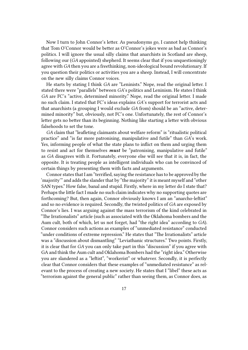Now I turn to John Connor's letter. As pseudonyms go, I cannot help thinking that Tom O'Connor would be better as O'Connor's jokes were as bad as Connor's politics. I will ignore the usual silly claims that anarchists in Scotland are sheep, following our (*GA* appointed) shepherd. It seems clear that if you unquestioningly agree with *GA* then you are a freethinking, non-ideological bound revolutionary. If you question their politics or activities you are a sheep. Instead, I will concentrate on the new silly claims Connor voices.

He starts by stating I think *GA* are "Leninists." Nope, read the original letter. I stated there were "parallels" between *GA*'s politics and Leninism. He states I think *GA* are FC's "active, determined minority." Nope, read the original letter. I made no such claim. I stated that FC's ideas explains *GA*'s support for terrorist acts and that anarchists (a grouping I would exclude *GA* from) should be an "active, determined minority" but, obviously, not FC's one. Unfortunately, the rest of Connor's letter gets no better than its beginning. Nothing like starting a letter with obvious falsehoods to set the tone.

*GA* claim that "leafleting claimants about welfare reform" is "ritualistic political practice" and "is far more patronising, manipulative and futile" than *GA*'s work. Yes, informing people of what the state plans to inflict on them and urging them to resist and act for themselves *must* be "patronising, manipulative and futile" as *GA* disagrees with it. Fortunately, everyone else will see that it is, in fact, the opposite. It is treating people as intelligent individuals who can be convinced of certain things by presenting them with facts and arguments.

Connor states that I am "terrified, saying the resistance has to be approved by the 'majority'" and adds the slander that by "the majority" it is meant myself and "other SAN types." How false, banal and stupid. Firstly, where in my letter do I state that? Perhaps the little fact I made no such claim indicates why no supporting quotes are forthcoming? But, then again, Connor obviously knows I am an "anarcho-leftist" and so no evidence is required. Secondly, the twisted politics of *GA* are exposed by Connor's lies. I was arguing against the mass terrorism of the kind celebrated in "The Irrationalists" article (such as associated with the Oklahoma bombers and the Aum cult, both of which, let us not forget, had "the right idea" according to *GA*). Connor considers such actions as examples of "unmediated resistance" conducted "under conditions of extreme repression." He states that "The Irrationalists" article was a "discussion about dismantling" "Leviathanic structures." Two points. Firstly, it is clear that for *GA* you can only take part in this "discussion" if you agree with GA and think the Aum cult and Oklahoma Bombers had the "right idea." Otherwise you are slandered as a "leftist", "workerist" or whatever. Secondly, it is perfectly clear that Connor considers that these examples of "unmediated resistance" as relevant to the process of creating a new society. He states that I "libel" these acts as "terrorism against the general public" rather than seeing them, as Connor does, as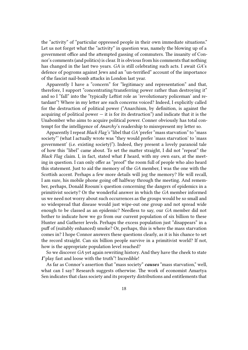the "activity" of "particular oppressed people in their own immediate situations." Let us not forget what the "activity" in question was, namely the blowing up of a government office and the attempted gassing of commuters. The insanity of Connor's comments (and politics) is clear. It is obvious from his comments that nothing has changed in the last two years. *GA* is still celebrating such acts. I await *GA*'s defence of pogroms against Jews and an "un-terrified" account of the importance of the fascist nail-bomb attacks in London last year.

Apparently I have a "concern" for "legitimacy and representation" and that, therefore, I support "concentrating/transferring power rather than destroying it" and so I "fall" into the "typically Leftist role as 'revolutionary policeman' and retardant"! Where in my letter are such concerns voiced? Indeed, I explicitly called for the destruction of political power ("Anarchism, by definition, is against the acquiring of political power  $-$  it is for its destruction") and indicate that it is the Unabomber who aims to acquire political power. Conner obviously has total contempt for the intelligence of *Anarchy*'s readership to misrepresent my letter so.

Apparently I repeat *Black Flag's* "libel that *GA* 'prefer "mass starvation" to "mass society"' (what I actually wrote was "they would prefer 'mass starvation' to 'mass government' (i.e. existing society)"). Indeed, they present a lovely paranoid tale of how this "libel" came about. To set the matter straight, I did not "repeat" the *Black Flag* claim. I, in fact, stated what *I* heard, with my own ears, at the meeting in question. I can only offer as "proof" the room full of people who also heard this statement. Just to aid the memory of the *GA* member, I was the one with the Scottish accent. Perhaps a few more details will jog the memory? He will recall, I am sure, his mobile phone going off halfway through the meeting. And remember, perhaps, Donald Rooum's question concerning the dangers of epidemics in a primitivist society? Or the wonderful answer in which the *GA* member informed us we need not worry about such occurrences as the groups would be so small and so widespread that disease would just wipe-out one group and not spread wide enough to be classed as an epidemic? Needless to say, our *GA* member did not bother to indicate how we go from our current population of six billion to these Hunter and Gatherer levels. Perhaps the excess population just "disappears" in a puff of (suitably enhanced) smoke? Or, perhaps, this is where the mass starvation comes in? I hope Connor answers these questions clearly, as it is his chance to set the record straight. Can six billion people survive in a primitivist world? If not, how is the appropriate population level reached?

So we discover *GA* yet again rewriting history. And they have the cheek to state *I*"play fast and loose with the truth"! Incredible!

As far as Connor's assertion that "mass society" *causes* "mass starvation," well, what can I say? Research suggests otherwise. The work of economist Amartya Sen indicates that class society and its property distributions and entitlements that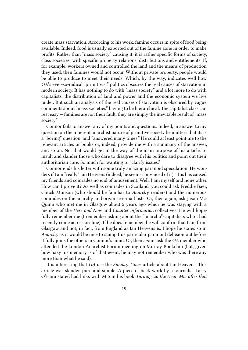create mass starvation. According to his work, famine occurs in spite of food being available. Indeed, food is usually exported out of the famine zone in order to make profits. Rather than "mass society" causing it, it is rather specific forms of society, class societies, with specific property relations, distributions and entitlements. If, for example, workers owned and controlled the land and the means of production they used, then famines would not occur. Without private property, people would be able to produce to meet their needs. Which, by the way, indicates well how *GA*'s ever-so-radical "primitivist" politics obscures the real causes of starvation in modern society. It has nothing to do with "mass society" and a lot more to do with capitalists, the distribution of land and power and the economic system we live under. But such an analysis of the real causes of starvation is obscured by vague comments about "mass societies" having to be hierarchical. The capitalist class can rest easy — famines are not their fault, they are simply the inevitable result of "mass society."

Connor fails to answer any of my points and questions. Indeed, in answer to my question on the inherent anarchist nature of primitive society he mutters that its is a "boring" question, and "answered many times." He could at least point me to the relevant articles or books or, indeed, provide me with a summary of the answer, and so on. No, that would get in the way of the main purpose of his article, to insult and slander those who dare to disagree with his politics and point out their authoritarian core. So much for wanting to "clarify issues."

Connor ends his letter with some truly amazing paranoid speculation. He wonders if I am "really" Ian Heavens (indeed, he seems convinced of it). This has caused my friends and comrades no end of amusement. Well, I am myself and none other. How can I prove it? As well as comrades in Scotland, you could ask Freddie Baer, Chuck Munson (who should be familiar to *Anarchy* readers) and the numerous comrades on the anarchy and organise e-mail lists. Or, then again, ask Jason Mc-Quinn who met me in Glasgow about 5 years ago when he was staying with a member of the *Here and Now* and *Counter Information* collectives. He will hopefully remember me (I remember asking about the "anarcho"-capitalists who I had recently come across on-line). If he does remember, he will confirm that I am from Glasgow and not, in fact, from England as Ian Heavens is. I hope he states so in *Anarchy* as it would be nice to stamp this particular paranoid delusion out before it fully joins the others in Connor's mind. Or, then again, ask the *GA* member who attended the London Anarchist Forum meeting on Murray Bookchin (but, given how hazy his memory is of that event, he may not remember who was there any more than what he said).

It is interesting that *GA* use the *Sunday Times* article about Ian Heavens. This article was slander, pure and simple. A piece of hack-work by a journalist Larry O'Hara stated had links with MI5 in his book *Turning up the Heat: MI5 after that*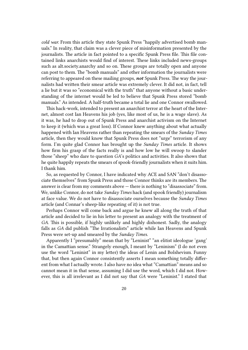*cold war.* From this article they state Spunk Press "happily advertised bomb manuals." In reality, that claim was a clever piece of misinformation presented by the journalists. The article in fact pointed to a specific Spunk Press file. This file contained links anarchists would find of interest. These links included news-groups such as alt.society.anarchy and so on. These groups are totally open and anyone can post to them. The "bomb manuals" and other information the journalists were referring to appeared on these mailing groups, *not* Spunk Press. The way the journalists had written their smear article was extremely clever. It did not, in fact, tell a lie but it was so "economical with the truth" that anyone without a basic understanding of the internet would be led to believe that Spunk Press stored "bomb manuals." As intended. A half-truth became a total lie and one Connor swallowed.

This hack-work, intended to present an anarchist terror at the heart of the Internet, almost cost Ian Heavens his job (yes, like most of us, he is a wage slave). As it was, he had to drop out of Spunk Press and anarchist activism on the Internet to keep it (which was a great loss). If Connor knew anything about what actually happened with Ian Heavens rather than repeating the smears of the *Sunday Times* article, then they would know that Spunk Press does not "urge" terrorism of any form. I'm quite glad Connor has brought up the *Sunday Times* article. It shows how firm his grasp of the facts really is and how low he will swoop to slander those "sheep" who dare to question *GA*'s politics and activities. It also shows that he quite happily repeats the smears of spook-friendly journalists when it suits him. I thank him.

So, as requested by Connor, I have indicated why ACE and SAN "don't disassociate themselves" from Spunk Press and those Connor thinks are its members. The answer is clear from my comments above — there is nothing to "disassociate" from. We, unlike Connor, do not take *Sunday Times* hack (and spook friendly) journalism at face value. We do not have to disassociate ourselves because the *Sunday Times* article (and Connar's sheep-like repeating of it) is not true.

Perhaps Connor will come back and argue he knew all along the truth of that article and decided to lie in his letter to present an analogy with the treatment of *GA*. This is possible, if highly unlikely and highly dishonest. Sadly, the analogy falls as *GA* did publish "The Irrationalists" article while Ian Heavens and Spunk Press were set-up and smeared by the *Sunday Times*.

Apparently I "presumably" mean that by "Leninist" "an elitist ideologue 'gang' in the Camattian sense." Strangely enough, I meant by "Leninism" (I do not even use the word "Leninist" in my letter) the ideas of Lenin and Bolshevism. Funny that, but then again Connor consistently asserts I mean something totally different from what I actually wrote. I also have no idea what "Camattian" means and so cannot mean it in that sense, assuming I did use the word, which I did not. However, this is all irrelevant as I did not say that *GA* were "Leninist." I stated that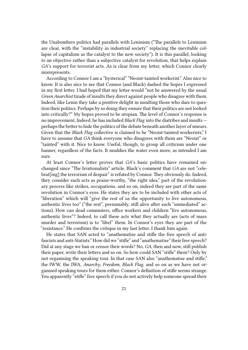the Unabombers politics had parallels with Leninism ("The parallels to Leninism are clear, with the "instability in industrial society" replacing the inevitable collapse of capitalism as the catalyst to the new society"). It is this parallel, looking to an objective rather than a subjective catalyst for revolution, that helps explain *GA*'s support for terrorist acts. As is clear from my letter, which Connor clearly misrepresents.

According to Connor I am a "hysterical" "Neoist-tainted workerist." Also nice to know. It is also nice to see that Connor (and Black) dashed the hopes I expressed in my first letter. I had hoped that my letter would "not be answered by the usual *Green Anarchist* tirade of insults they direct against people who disagree with them. Indeed, like Lenin they take a positive delight in insulting those who dare to question their politics. Perhaps by so doing they ensure that their politics are not looked into critically?" My hopes proved to be utopian. The level of Connor's response is no improvement. Indeed, he has included *Black Flag* into the diatribes and insults perhaps the better to hide the politics of the debate beneath another layer of smears. Given that the *Black Flag* collective is claimed to be "Neoist-tainted workerists," I have to assume that *GA* think everyone who disagrees with them are "Neoist" or "tainted" with it. Nice to know. Useful, though, to group all criticism under one banner, regardless of the facts. It muddies the water even more, as intended I am sure.

At least Connor's letter proves that *GA*'s basic politics have remained unchanged since "The Irrationalists" article. Black's comment that *GA* are not "celebrat[ing] the terrorism of despair" is refuted by Connor. They obviously do. Indeed, they consider such acts as praise-worthy, "the right idea," part of the revolutionary process like strikes, occupations, and so on, indeed they are part of the same revolution in Connor's eyes. He states they are to be included with other acts of "liberation" which will "give the rest of us the opportunity to live autonomous, authentic lives too" ("the rest", presumably, still alive after such "unmediated" actions). How can dead commuters, office workers and children "live autonomous, authentic lives"? Indeed, to call these acts what they actually are (acts of mass murder and terrorism) is to "libel" them. In Connor's eyes they are part of the "resistance." He confirms the critique in my last letter. I thank him again.

He states that SAN acted to "anathematise and stifle the free speech of antifascists and anti-Statists." How did we "stifle" and "anathematise" their free speech? Did at any stage we ban or censor their words? No, *GA*, then and now, still publish their paper, write their letters and so on. So how could SAN "stifle" them? Only by not organising the speaking tour. In that case SAN also "anathematise and stifle," the IWW, the IWA, *Anarchy*, *Freedom*, *Black Flag*, and so on as we have not organised speaking tours for them either. Connor's definition of stifle seems strange. You apparently "stifle" free speech if you do not actively help someone spread their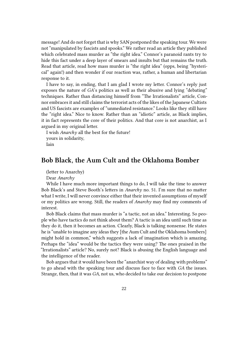message! And do not forget that is why SAN postponed the speaking tour. We were not "manipulated by fascists and spooks." We rather read an article they published which celebrated mass murder as "the right idea." Connor's paranoid rants try to hide this fact under a deep layer of smears and insults but that remains the truth. Read that article, read how mass murder is "the right idea" (opps, being "hysterical" again!) and then wonder if our reaction was, rather, a human and libertarian response to it.

I have to say, in ending, that I am glad I wrote my letter. Connor's reply just exposes the nature of *GA*'s politics as well as their abusive and lying "debating" techniques. Rather than distancing himself from "The Irrationalists" article, Connor embraces it and still claims the terrorist acts of the likes of the Japanese Cultists and US fascists are examples of "unmediated resistance." Looks like they still have the "right idea." Nice to know. Rather than an "idiotic" article, as Black implies, it in fact represents the core of their politics. And that core is not anarchist, as I argued in my original letter.

I wish *Anarchy* all the best for the future! yours in solidarity, Iain

## **Bob Black, the Aum Cult and the Oklahoma Bomber**

(letter to Anarchy)

Dear *Anarchy*

While I have much more important things to do, I will take the time to answer Bob Black's and Steve Booth's letters in *Anarchy* no. 51. I'm sure that no matter what I write, I will never convince either that their invented assumptions of myself or my politics are wrong. Still, the readers of *Anarchy* may find my comments of interest.

Bob Black claims that mass murder is "a tactic, not an idea." Interesting. So people who have tactics do not think about them? A tactic is an idea until such time as they do it, then it becomes an action. Clearly, Black is talking nonsense. He states he is "unable to imagine any ideas they [the Aum Cult and the Oklahoma bombers] might hold in common," which suggests a lack of imagination which is amazing. Perhaps the "idea" would be the tactics they were using? The ones praised in the "Irrationalists" article? No, surely not? Black is abusing the English language and the intelligence of the reader.

Bob argues that it would have been the "anarchist way of dealing with problems" to go ahead with the speaking tour and discuss face to face with *GA* the issues. Strange, then, that it was *GA*, not us, who decided to take our decision to postpone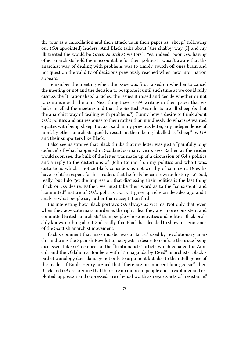the tour as a cancellation and then attack us in their paper as "sheep," following our (*GA* appointed) leaders. And Black talks about "the shabby way [I] and my ilk treated the would be *Green Anarchist* visitors"! Yes, indeed, poor *GA*, having other anarchists hold them accountable for their politics! I wasn't aware that the anarchist way of dealing with problems was to simply switch off ones brain and not question the validity of decisions previously reached when new information appears.

I remember the meeting when the issue was first raised on whether to cancel the meeting or not and the decision to postpone it until such time as we could fully discuss the "Irrationalists" articles, the issues it raised and decide whether or not to continue with the tour. Next thing I see is *GA* writing in their paper that we had cancelled the meeting and that the Scottish Anarchists are all sheep (is that the anarchist way of dealing with problems?). Funny how a desire to think about *GA*'s politics and our response to them rather than mindlessly do what *GA* wanted equates with being sheep. But as I said in my previous letter, any independence of mind by other anarchists quickly results in them being labelled as "sheep" by GA and their supporters like Black.

It also seems strange that Black thinks that my letter was just a "painfully long defence" of what happened in Scotland so many years ago. Rather, as the reader would soon see, the bulk of the letter was made up of a discussion of *GA*'s politics and a reply to the distortions of "John Connor" on my politics and who I was, distortions which I notice Black considers as not worthy of comment. Does he have so little respect for his readers that he feels he can rewrite history so? Sad, really, but I do get the impression that discussing their politics is the last thing Black or *GA* desire. Rather, we must take their word as to the "consistent" and "committed" nature of *GA*'s politics. Sorry, I gave up religion decades ago and I analyse what people say rather than accept it on faith.

It is interesting how Black portrays *GA* always as victims. Not only that, even when they advocate mass murder as the right idea, they are "more consistent and committed British anarchists" than people whose activities and politics Black probably knows nothing about. Sad, really, that Black has decided to show his ignorance of the Scottish anarchist movement.

Black's comment that mass murder was a "tactic" used by revolutionary anarchism during the Spanish Revolution suggests a desire to confuse the issue being discussed. Like *GA* defences of the "Irrationalists" article which equated the Aum cult and the Oklahoma Bombers with "Propaganda by Deed" anarchists, Black's pathetic analogy does damage not only to argument but also to the intelligence of the reader. If Emile Henry argued that "there are no innocent bourgeoisie", then Black and *GA* are arguing that there are no innocent people and so exploiter and exploited, oppressor and oppressed, are of equal worth as regards acts of "resistance."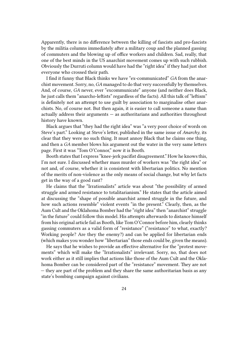Apparently, there is no difference between the killing of fascists and pro-fascists by the militia columns immediately after a military coup and the planned gassing of commuters and the blowing up of office workers and children. Sad, really, that one of the best minds in the US anarchist movement comes up with such rubbish. Obviously the Durruti column would have had the "right idea" if they had just shot everyone who crossed their path.

I find it funny that Black thinks we have "ex-communicated" *GA* from the anarchist movement. Sorry, no, *GA* managed to do that very successfully by themselves. And, of course, *GA* never, ever "excommunicate" anyone (and neither does Black, he just calls them "anarcho-leftists" regardless of the facts). All this talk of "leftism" is definitely not an attempt to use guilt by association to marginalise other anarchists. No, of course not. But then again, it is easier to call someone a name than actually address their arguments — as authoritarians and authorities throughout history have known.

Black argues that "they had the right idea" was "a very poor choice of words on Steve's part." Looking at Steve's letter, published in the same issue of *Anarchy*, its clear that they were no such thing. It must annoy Black that he claims one thing, and then a *GA* member blows his argument out the water in the very same letters page. First it was "Tom O'Connor," now it is Booth.

Booth states that I express "knee-jerk pacifist disagreement." How he knows this, I'm not sure. I discussed whether mass murder of workers was "the right idea" or not and, of course, whether it is consistent with libertarian politics. No mention of the merits of non-violence as the only means of social change, but why let facts get in the way of a good rant?

He claims that the "Irrationalists" article was about "the possibility of armed struggle and armed resistance to totalitarianism." He states that the article aimed at discussing the "shape of possible anarchist armed struggle in the future, and how such actions resemble" violent events "in the present." Clearly, then, as the Aum Cult and the Oklahoma Bomber had the "right idea" then "anarchist" struggle "in the future" could follow this model. His attempts afterwards to distance himself from his original article fail as Booth, like Tom O'Connor before him, clearly thinks gassing commuters as a valid form of "resistance" ("resistance" to what, exactly? Working people? Are they the enemy?) and can be applied for libertarian ends (which makes you wonder how "libertarian" those ends could be, given the means).

He says that he wishes to provide an effective alternative for the "protest movements" which will make the "Irrationalists" irrelevant. Sorry, no, that does not work either as it still implies that actions like those of the Aum Cult and the Oklahoma Bomber can be considered part of the "resistance" movement. They are not — they are part of the problem and they share the same authoritarian basis as any state's bombing campaign against civilians.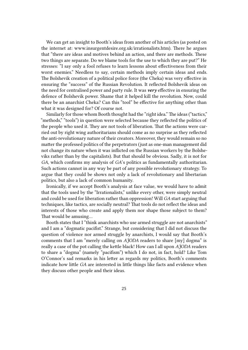We can get an insight to Booth's ideas from another of his articles (as posted on the internet at: www.insurgentdesire.org.uk/irrationalists.htm). There he argues that "there are ideas and motives behind an action, and there are methods. These two things are separate. Do we blame tools for the use to which they are put?" He stresses: "I say only a fool refuses to learn lessons about effectiveness from their worst enemies." Needless to say, certain methods imply certain ideas and ends. The Bolshevik creation of a political police force (the Cheka) was very effective in ensuring the "success" of the Russian Revolution. It reflected Bolshevik ideas on the need for centralised power and party rule. It was *very* effective in ensuring the defence of Bolshevik power. Shame that it helped kill the revolution. Now, could there be an anarchist Cheka? Can this "tool" be effective for anything other than what it was designed for? Of course not.

Similarly for those whom Booth thought had the "right idea." The ideas ("tactics," "methods," "tools") in question were selected because they reflected the politics of the people who used it. They are not tools of liberation. That the actions were carried out by right wing authoritarians should come as no surprise as they reflected the anti-revolutionary nature of their creators. Moreover, they would remain so no matter the professed politics of the perpetrators (just as one-man management did not change its nature when it was inflicted on the Russian workers by the Bolsheviks rather than by the capitalists). But that should be obvious. Sadly, it is not for *GA*, which confirms my analysis of *GA*'s politics as fundamentally authoritarian. Such actions cannot in any way be part of any possible revolutionary strategy. To argue that they could be shows not only a lack of revolutionary and libertarian politics, but also a lack of common humanity.

Ironically, if we accept Booth's analysis at face value, we would have to admit that the tools used by the "Irrationalists," unlike every other, were simply neutral and could be used for liberation rather than oppression! Will *GA* start arguing that techniques, like tactics, are socially neutral? That tools do not reflect the ideas and interests of those who create and apply them nor shape those subject to them? That would be amusing…

Booth states that I "think anarchists who use armed struggle are not anarchists" and I am a "dogmatic pacifist." Strange, but considering that I did not discuss the question of violence nor armed struggle by anarchists, I would say that Booth's comments that I am "merely calling on *AJODA* readers to share [my] dogma" is really a case of the pot calling the kettle black! How can I all upon *AJODA* readers to share a "dogma" (namely "pacifism") which I do not, in fact, hold? Like Tom O'Connor's sad remarks in his letter as regards my politics, Booth's comments indicate how little *GA* are interested in little things like facts and evidence when they discuss other people and their ideas.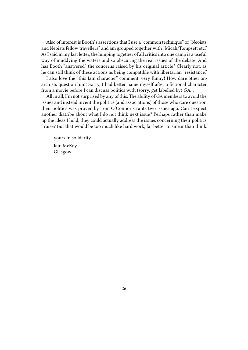Also of interest is Booth's assertions that I use a "common technique" of "Neoists and Neoists fellow travellers" and am grouped together with "Micah/Tompsett etc." As I said in my last letter, the lumping together of all critics into one camp is a useful way of muddying the waters and so obscuring the real issues of the debate. And has Booth "answered" the concerns raised by his original article? Clearly not, as he can still think of these actions as being compatible with libertarian "resistance."

I also love the "this Iain character" comment, very funny! How dare other anarchists question him! Sorry, I had better name myself after a fictional character from a movie before I can discuss politics with (sorry, get labelled by) *GA*…

All in all, I'm not surprised by any of this. The ability of *GA* members to avoid the issues and instead invent the politics (and associations) of those who dare question their politics was proven by Tom O'Connor's rants two issues ago. Can I expect another diatribe about what I do not think next issue? Perhaps rather than make up the ideas I hold, they could actually address the issues concerning their politics I raise? But that would be too much like hard work, far better to smear than think.

yours in solidarity Iain McKay Glasgow